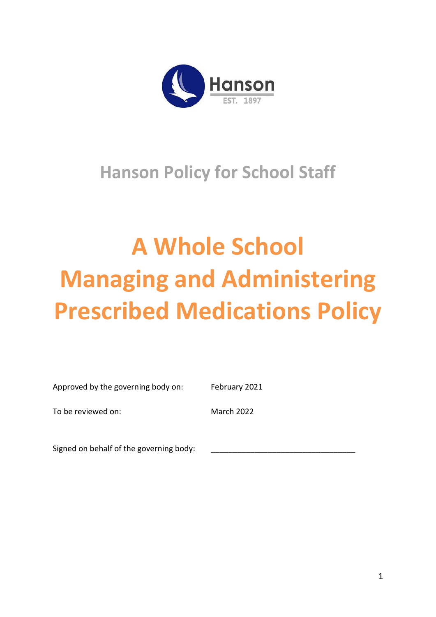

# **Hanson Policy for School Staff**

# **A Whole School Managing and Administering Prescribed Medications Policy**

| Approved by the governing body on:      | February 2021     |
|-----------------------------------------|-------------------|
| To be reviewed on:                      | <b>March 2022</b> |
| Signed on behalf of the governing body: |                   |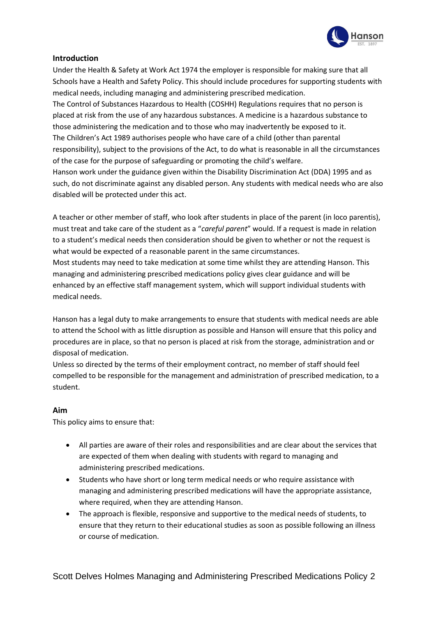

# **Introduction**

Under the Health & Safety at Work Act 1974 the employer is responsible for making sure that all Schools have a Health and Safety Policy. This should include procedures for supporting students with medical needs, including managing and administering prescribed medication.

The Control of Substances Hazardous to Health (COSHH) Regulations requires that no person is placed at risk from the use of any hazardous substances. A medicine is a hazardous substance to those administering the medication and to those who may inadvertently be exposed to it. The Children's Act 1989 authorises people who have care of a child (other than parental responsibility), subject to the provisions of the Act, to do what is reasonable in all the circumstances of the case for the purpose of safeguarding or promoting the child's welfare.

Hanson work under the guidance given within the Disability Discrimination Act (DDA) 1995 and as such, do not discriminate against any disabled person. Any students with medical needs who are also disabled will be protected under this act.

A teacher or other member of staff, who look after students in place of the parent (in loco parentis), must treat and take care of the student as a "*careful parent*" would. If a request is made in relation to a student's medical needs then consideration should be given to whether or not the request is what would be expected of a reasonable parent in the same circumstances.

Most students may need to take medication at some time whilst they are attending Hanson. This managing and administering prescribed medications policy gives clear guidance and will be enhanced by an effective staff management system, which will support individual students with medical needs.

Hanson has a legal duty to make arrangements to ensure that students with medical needs are able to attend the School with as little disruption as possible and Hanson will ensure that this policy and procedures are in place, so that no person is placed at risk from the storage, administration and or disposal of medication.

Unless so directed by the terms of their employment contract, no member of staff should feel compelled to be responsible for the management and administration of prescribed medication, to a student.

#### **Aim**

This policy aims to ensure that:

- All parties are aware of their roles and responsibilities and are clear about the services that are expected of them when dealing with students with regard to managing and administering prescribed medications.
- Students who have short or long term medical needs or who require assistance with managing and administering prescribed medications will have the appropriate assistance, where required, when they are attending Hanson.
- The approach is flexible, responsive and supportive to the medical needs of students, to ensure that they return to their educational studies as soon as possible following an illness or course of medication.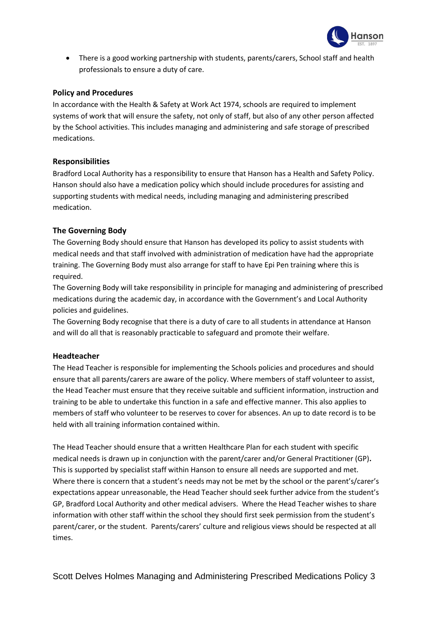

• There is a good working partnership with students, parents/carers, School staff and health professionals to ensure a duty of care.

#### **Policy and Procedures**

In accordance with the Health & Safety at Work Act 1974, schools are required to implement systems of work that will ensure the safety, not only of staff, but also of any other person affected by the School activities. This includes managing and administering and safe storage of prescribed medications.

# **Responsibilities**

Bradford Local Authority has a responsibility to ensure that Hanson has a Health and Safety Policy. Hanson should also have a medication policy which should include procedures for assisting and supporting students with medical needs, including managing and administering prescribed medication.

# **The Governing Body**

The Governing Body should ensure that Hanson has developed its policy to assist students with medical needs and that staff involved with administration of medication have had the appropriate training. The Governing Body must also arrange for staff to have Epi Pen training where this is required.

The Governing Body will take responsibility in principle for managing and administering of prescribed medications during the academic day, in accordance with the Government's and Local Authority policies and guidelines.

The Governing Body recognise that there is a duty of care to all students in attendance at Hanson and will do all that is reasonably practicable to safeguard and promote their welfare.

#### **Headteacher**

The Head Teacher is responsible for implementing the Schools policies and procedures and should ensure that all parents/carers are aware of the policy. Where members of staff volunteer to assist, the Head Teacher must ensure that they receive suitable and sufficient information, instruction and training to be able to undertake this function in a safe and effective manner. This also applies to members of staff who volunteer to be reserves to cover for absences. An up to date record is to be held with all training information contained within.

The Head Teacher should ensure that a written Healthcare Plan for each student with specific medical needs is drawn up in conjunction with the parent/carer and/or General Practitioner (GP)**.**  This is supported by specialist staff within Hanson to ensure all needs are supported and met. Where there is concern that a student's needs may not be met by the school or the parent's/carer's expectations appear unreasonable, the Head Teacher should seek further advice from the student's GP, Bradford Local Authority and other medical advisers. Where the Head Teacher wishes to share information with other staff within the school they should first seek permission from the student's parent/carer, or the student.Parents/carers' culture and religious views should be respected at all times.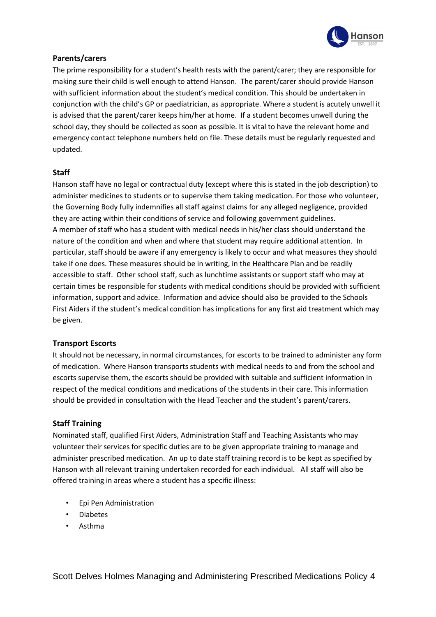

# **Parents/carers**

The prime responsibility for a student's health rests with the parent/carer; they are responsible for making sure their child is well enough to attend Hanson. The parent/carer should provide Hanson with sufficient information about the student's medical condition. This should be undertaken in conjunction with the child's GP or paediatrician, as appropriate. Where a student is acutely unwell it is advised that the parent/carer keeps him/her at home. If a student becomes unwell during the school day, they should be collected as soon as possible. It is vital to have the relevant home and emergency contact telephone numbers held on file. These details must be regularly requested and updated.

# **Staff**

Hanson staff have no legal or contractual duty (except where this is stated in the job description) to administer medicines to students or to supervise them taking medication. For those who volunteer, the Governing Body fully indemnifies all staff against claims for any alleged negligence, provided they are acting within their conditions of service and following government guidelines. A member of staff who has a student with medical needs in his/her class should understand the nature of the condition and when and where that student may require additional attention. In particular, staff should be aware if any emergency is likely to occur and what measures they should take if one does. These measures should be in writing, in the Healthcare Plan and be readily accessible to staff. Other school staff, such as lunchtime assistants or support staff who may at certain times be responsible for students with medical conditions should be provided with sufficient information, support and advice. Information and advice should also be provided to the Schools First Aiders if the student's medical condition has implications for any first aid treatment which may be given.

#### **Transport Escorts**

It should not be necessary, in normal circumstances, for escorts to be trained to administer any form of medication. Where Hanson transports students with medical needs to and from the school and escorts supervise them, the escorts should be provided with suitable and sufficient information in respect of the medical conditions and medications of the students in their care. This information should be provided in consultation with the Head Teacher and the student's parent/carers.

# **Staff Training**

Nominated staff, qualified First Aiders, Administration Staff and Teaching Assistants who may volunteer their services for specific duties are to be given appropriate training to manage and administer prescribed medication. An up to date staff training record is to be kept as specified by Hanson with all relevant training undertaken recorded for each individual. All staff will also be offered training in areas where a student has a specific illness:

- Epi Pen Administration
- Diabetes
- Asthma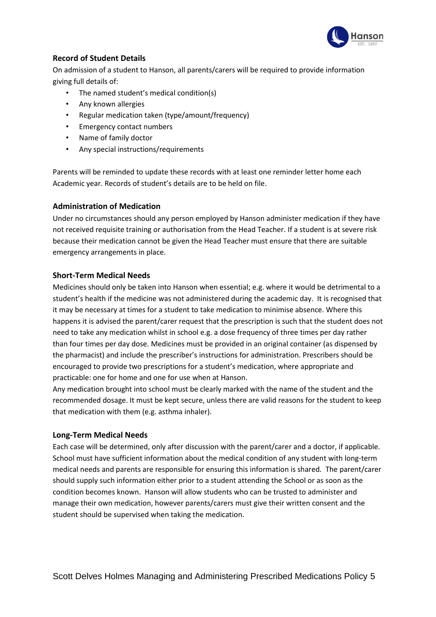

# **Record of Student Details**

On admission of a student to Hanson, all parents/carers will be required to provide information giving full details of:

- The named student's medical condition(s)
- Any known allergies
- Regular medication taken (type/amount/frequency)
- Emergency contact numbers
- Name of family doctor
- Any special instructions/requirements

Parents will be reminded to update these records with at least one reminder letter home each Academic year. Records of student's details are to be held on file.

#### **Administration of Medication**

Under no circumstances should any person employed by Hanson administer medication if they have not received requisite training or authorisation from the Head Teacher. If a student is at severe risk because their medication cannot be given the Head Teacher must ensure that there are suitable emergency arrangements in place.

#### **Short-Term Medical Needs**

Medicines should only be taken into Hanson when essential; e.g. where it would be detrimental to a student's health if the medicine was not administered during the academic day. It is recognised that it may be necessary at times for a student to take medication to minimise absence. Where this happens it is advised the parent/carer request that the prescription is such that the student does not need to take any medication whilst in school e.g. a dose frequency of three times per day rather than four times per day dose. Medicines must be provided in an original container (as dispensed by the pharmacist) and include the prescriber's instructions for administration. Prescribers should be encouraged to provide two prescriptions for a student's medication, where appropriate and practicable: one for home and one for use when at Hanson.

Any medication brought into school must be clearly marked with the name of the student and the recommended dosage. It must be kept secure, unless there are valid reasons for the student to keep that medication with them (e.g. asthma inhaler).

#### **Long-Term Medical Needs**

Each case will be determined, only after discussion with the parent/carer and a doctor, if applicable. School must have sufficient information about the medical condition of any student with long-term medical needs and parents are responsible for ensuring this information is shared. The parent/carer should supply such information either prior to a student attending the School or as soon as the condition becomes known. Hanson will allow students who can be trusted to administer and manage their own medication, however parents/carers must give their written consent and the student should be supervised when taking the medication.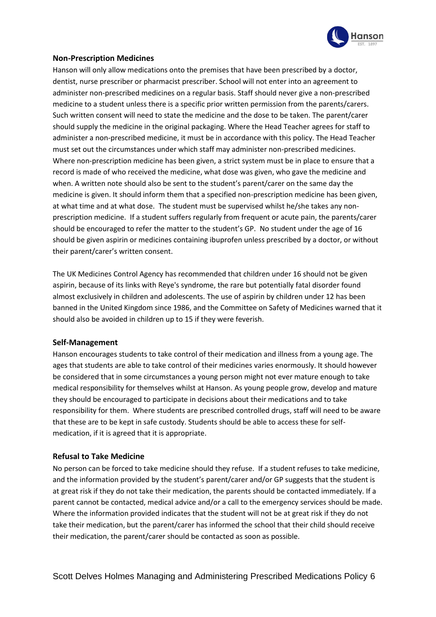

#### **Non-Prescription Medicines**

Hanson will only allow medications onto the premises that have been prescribed by a doctor, dentist, nurse prescriber or pharmacist prescriber. School will not enter into an agreement to administer non-prescribed medicines on a regular basis. Staff should never give a non-prescribed medicine to a student unless there is a specific prior written permission from the parents/carers. Such written consent will need to state the medicine and the dose to be taken. The parent/carer should supply the medicine in the original packaging. Where the Head Teacher agrees for staff to administer a non-prescribed medicine, it must be in accordance with this policy. The Head Teacher must set out the circumstances under which staff may administer non-prescribed medicines. Where non-prescription medicine has been given, a strict system must be in place to ensure that a record is made of who received the medicine, what dose was given, who gave the medicine and when. A written note should also be sent to the student's parent/carer on the same day the medicine is given. It should inform them that a specified non-prescription medicine has been given, at what time and at what dose. The student must be supervised whilst he/she takes any nonprescription medicine. If a student suffers regularly from frequent or acute pain, the parents/carer should be encouraged to refer the matter to the student's GP. No student under the age of 16 should be given aspirin or medicines containing ibuprofen unless prescribed by a doctor, or without their parent/carer's written consent.

The UK Medicines Control Agency has recommended that children under 16 should not be given aspirin, because of its links with Reye's syndrome, the rare but potentially fatal disorder found almost exclusively in children and adolescents. The use of aspirin by children under 12 has been banned in the United Kingdom since 1986, and the Committee on Safety of Medicines warned that it should also be avoided in children up to 15 if they were feverish.

#### **Self-Management**

Hanson encourages students to take control of their medication and illness from a young age. The ages that students are able to take control of their medicines varies enormously. It should however be considered that in some circumstances a young person might not ever mature enough to take medical responsibility for themselves whilst at Hanson. As young people grow, develop and mature they should be encouraged to participate in decisions about their medications and to take responsibility for them. Where students are prescribed controlled drugs, staff will need to be aware that these are to be kept in safe custody. Students should be able to access these for selfmedication, if it is agreed that it is appropriate.

# **Refusal to Take Medicine**

No person can be forced to take medicine should they refuse. If a student refuses to take medicine, and the information provided by the student's parent/carer and/or GP suggests that the student is at great risk if they do not take their medication, the parents should be contacted immediately. If a parent cannot be contacted, medical advice and/or a call to the emergency services should be made. Where the information provided indicates that the student will not be at great risk if they do not take their medication, but the parent/carer has informed the school that their child should receive their medication, the parent/carer should be contacted as soon as possible.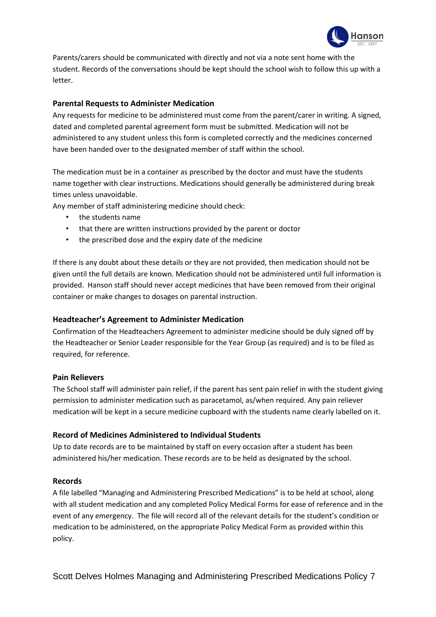

Parents/carers should be communicated with directly and not via a note sent home with the student. Records of the conversations should be kept should the school wish to follow this up with a letter.

### **Parental Requests to Administer Medication**

Any requests for medicine to be administered must come from the parent/carer in writing. A signed, dated and completed parental agreement form must be submitted. Medication will not be administered to any student unless this form is completed correctly and the medicines concerned have been handed over to the designated member of staff within the school.

The medication must be in a container as prescribed by the doctor and must have the students name together with clear instructions. Medications should generally be administered during break times unless unavoidable.

Any member of staff administering medicine should check:

- the students name
- that there are written instructions provided by the parent or doctor
- the prescribed dose and the expiry date of the medicine

If there is any doubt about these details or they are not provided, then medication should not be given until the full details are known. Medication should not be administered until full information is provided. Hanson staff should never accept medicines that have been removed from their original container or make changes to dosages on parental instruction.

#### **Headteacher's Agreement to Administer Medication**

Confirmation of the Headteachers Agreement to administer medicine should be duly signed off by the Headteacher or Senior Leader responsible for the Year Group (as required) and is to be filed as required, for reference.

#### **Pain Relievers**

The School staff will administer pain relief, if the parent has sent pain relief in with the student giving permission to administer medication such as paracetamol, as/when required. Any pain reliever medication will be kept in a secure medicine cupboard with the students name clearly labelled on it.

#### **Record of Medicines Administered to Individual Students**

Up to date records are to be maintained by staff on every occasion after a student has been administered his/her medication. These records are to be held as designated by the school.

#### **Records**

A file labelled "Managing and Administering Prescribed Medications" is to be held at school, along with all student medication and any completed Policy Medical Forms for ease of reference and in the event of any emergency. The file will record all of the relevant details for the student's condition or medication to be administered, on the appropriate Policy Medical Form as provided within this policy.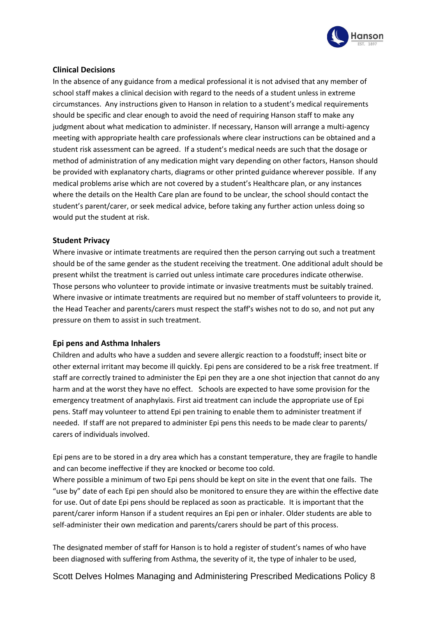

# **Clinical Decisions**

In the absence of any guidance from a medical professional it is not advised that any member of school staff makes a clinical decision with regard to the needs of a student unless in extreme circumstances. Any instructions given to Hanson in relation to a student's medical requirements should be specific and clear enough to avoid the need of requiring Hanson staff to make any judgment about what medication to administer. If necessary, Hanson will arrange a multi-agency meeting with appropriate health care professionals where clear instructions can be obtained and a student risk assessment can be agreed. If a student's medical needs are such that the dosage or method of administration of any medication might vary depending on other factors, Hanson should be provided with explanatory charts, diagrams or other printed guidance wherever possible. If any medical problems arise which are not covered by a student's Healthcare plan, or any instances where the details on the Health Care plan are found to be unclear, the school should contact the student's parent/carer, or seek medical advice, before taking any further action unless doing so would put the student at risk.

#### **Student Privacy**

Where invasive or intimate treatments are required then the person carrying out such a treatment should be of the same gender as the student receiving the treatment. One additional adult should be present whilst the treatment is carried out unless intimate care procedures indicate otherwise. Those persons who volunteer to provide intimate or invasive treatments must be suitably trained. Where invasive or intimate treatments are required but no member of staff volunteers to provide it, the Head Teacher and parents/carers must respect the staff's wishes not to do so, and not put any pressure on them to assist in such treatment.

#### **Epi pens and Asthma Inhalers**

Children and adults who have a sudden and severe allergic reaction to a foodstuff; insect bite or other external irritant may become ill quickly. Epi pens are considered to be a risk free treatment. If staff are correctly trained to administer the Epi pen they are a one shot injection that cannot do any harm and at the worst they have no effect. Schools are expected to have some provision for the emergency treatment of anaphylaxis. First aid treatment can include the appropriate use of Epi pens. Staff may volunteer to attend Epi pen training to enable them to administer treatment if needed. If staff are not prepared to administer Epi pens this needs to be made clear to parents/ carers of individuals involved.

Epi pens are to be stored in a dry area which has a constant temperature, they are fragile to handle and can become ineffective if they are knocked or become too cold.

Where possible a minimum of two Epi pens should be kept on site in the event that one fails. The "use by" date of each Epi pen should also be monitored to ensure they are within the effective date for use. Out of date Epi pens should be replaced as soon as practicable. It is important that the parent/carer inform Hanson if a student requires an Epi pen or inhaler. Older students are able to self-administer their own medication and parents/carers should be part of this process.

The designated member of staff for Hanson is to hold a register of student's names of who have been diagnosed with suffering from Asthma, the severity of it, the type of inhaler to be used,

Scott Delves Holmes Managing and Administering Prescribed Medications Policy 8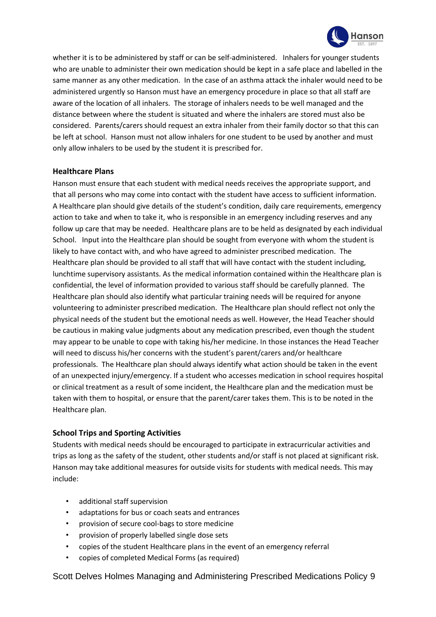

whether it is to be administered by staff or can be self-administered. Inhalers for younger students who are unable to administer their own medication should be kept in a safe place and labelled in the same manner as any other medication. In the case of an asthma attack the inhaler would need to be administered urgently so Hanson must have an emergency procedure in place so that all staff are aware of the location of all inhalers. The storage of inhalers needs to be well managed and the distance between where the student is situated and where the inhalers are stored must also be considered. Parents/carers should request an extra inhaler from their family doctor so that this can be left at school. Hanson must not allow inhalers for one student to be used by another and must only allow inhalers to be used by the student it is prescribed for.

#### **Healthcare Plans**

Hanson must ensure that each student with medical needs receives the appropriate support, and that all persons who may come into contact with the student have access to sufficient information. A Healthcare plan should give details of the student's condition, daily care requirements, emergency action to take and when to take it, who is responsible in an emergency including reserves and any follow up care that may be needed. Healthcare plans are to be held as designated by each individual School. Input into the Healthcare plan should be sought from everyone with whom the student is likely to have contact with, and who have agreed to administer prescribed medication. The Healthcare plan should be provided to all staff that will have contact with the student including, lunchtime supervisory assistants. As the medical information contained within the Healthcare plan is confidential, the level of information provided to various staff should be carefully planned. The Healthcare plan should also identify what particular training needs will be required for anyone volunteering to administer prescribed medication. The Healthcare plan should reflect not only the physical needs of the student but the emotional needs as well. However, the Head Teacher should be cautious in making value judgments about any medication prescribed, even though the student may appear to be unable to cope with taking his/her medicine. In those instances the Head Teacher will need to discuss his/her concerns with the student's parent/carers and/or healthcare professionals. The Healthcare plan should always identify what action should be taken in the event of an unexpected injury/emergency. If a student who accesses medication in school requires hospital or clinical treatment as a result of some incident, the Healthcare plan and the medication must be taken with them to hospital, or ensure that the parent/carer takes them. This is to be noted in the Healthcare plan.

#### **School Trips and Sporting Activities**

Students with medical needs should be encouraged to participate in extracurricular activities and trips as long as the safety of the student, other students and/or staff is not placed at significant risk. Hanson may take additional measures for outside visits for students with medical needs. This may include:

- additional staff supervision
- adaptations for bus or coach seats and entrances
- provision of secure cool-bags to store medicine
- provision of properly labelled single dose sets
- copies of the student Healthcare plans in the event of an emergency referral
- copies of completed Medical Forms (as required)

Scott Delves Holmes Managing and Administering Prescribed Medications Policy 9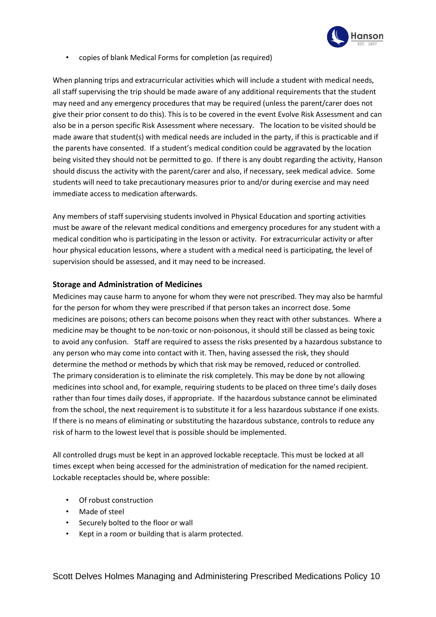

• copies of blank Medical Forms for completion (as required)

When planning trips and extracurricular activities which will include a student with medical needs, all staff supervising the trip should be made aware of any additional requirements that the student may need and any emergency procedures that may be required (unless the parent/carer does not give their prior consent to do this). This is to be covered in the event Evolve Risk Assessment and can also be in a person specific Risk Assessment where necessary. The location to be visited should be made aware that student(s) with medical needs are included in the party, if this is practicable and if the parents have consented. If a student's medical condition could be aggravated by the location being visited they should not be permitted to go. If there is any doubt regarding the activity, Hanson should discuss the activity with the parent/carer and also, if necessary, seek medical advice. Some students will need to take precautionary measures prior to and/or during exercise and may need immediate access to medication afterwards.

Any members of staff supervising students involved in Physical Education and sporting activities must be aware of the relevant medical conditions and emergency procedures for any student with a medical condition who is participating in the lesson or activity. For extracurricular activity or after hour physical education lessons, where a student with a medical need is participating, the level of supervision should be assessed, and it may need to be increased.

#### **Storage and Administration of Medicines**

Medicines may cause harm to anyone for whom they were not prescribed. They may also be harmful for the person for whom they were prescribed if that person takes an incorrect dose. Some medicines are poisons; others can become poisons when they react with other substances. Where a medicine may be thought to be non-toxic or non-poisonous, it should still be classed as being toxic to avoid any confusion. Staff are required to assess the risks presented by a hazardous substance to any person who may come into contact with it. Then, having assessed the risk, they should determine the method or methods by which that risk may be removed, reduced or controlled. The primary consideration is to eliminate the risk completely. This may be done by not allowing medicines into school and, for example, requiring students to be placed on three time's daily doses rather than four times daily doses, if appropriate. If the hazardous substance cannot be eliminated from the school, the next requirement is to substitute it for a less hazardous substance if one exists. If there is no means of eliminating or substituting the hazardous substance, controls to reduce any risk of harm to the lowest level that is possible should be implemented.

All controlled drugs must be kept in an approved lockable receptacle. This must be locked at all times except when being accessed for the administration of medication for the named recipient. Lockable receptacles should be, where possible:

- Of robust construction
- Made of steel
- Securely bolted to the floor or wall
- Kept in a room or building that is alarm protected.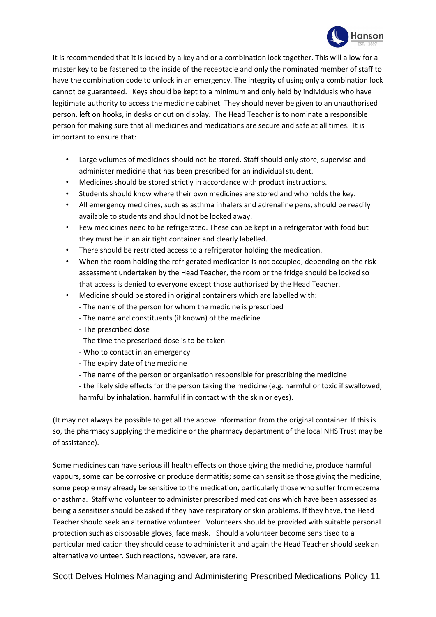

It is recommended that it is locked by a key and or a combination lock together. This will allow for a master key to be fastened to the inside of the receptacle and only the nominated member of staff to have the combination code to unlock in an emergency. The integrity of using only a combination lock cannot be guaranteed. Keys should be kept to a minimum and only held by individuals who have legitimate authority to access the medicine cabinet. They should never be given to an unauthorised person, left on hooks, in desks or out on display. The Head Teacher is to nominate a responsible person for making sure that all medicines and medications are secure and safe at all times. It is important to ensure that:

- Large volumes of medicines should not be stored. Staff should only store, supervise and administer medicine that has been prescribed for an individual student.
- Medicines should be stored strictly in accordance with product instructions.
- Students should know where their own medicines are stored and who holds the key.
- All emergency medicines, such as asthma inhalers and adrenaline pens, should be readily available to students and should not be locked away.
- Few medicines need to be refrigerated. These can be kept in a refrigerator with food but they must be in an air tight container and clearly labelled.
- There should be restricted access to a refrigerator holding the medication.
- When the room holding the refrigerated medication is not occupied, depending on the risk assessment undertaken by the Head Teacher, the room or the fridge should be locked so that access is denied to everyone except those authorised by the Head Teacher.
- Medicine should be stored in original containers which are labelled with:
	- The name of the person for whom the medicine is prescribed
	- The name and constituents (if known) of the medicine
	- The prescribed dose
	- The time the prescribed dose is to be taken
	- Who to contact in an emergency
	- The expiry date of the medicine
	- The name of the person or organisation responsible for prescribing the medicine
	- the likely side effects for the person taking the medicine (e.g. harmful or toxic if swallowed, harmful by inhalation, harmful if in contact with the skin or eyes).

(It may not always be possible to get all the above information from the original container. If this is so, the pharmacy supplying the medicine or the pharmacy department of the local NHS Trust may be of assistance).

Some medicines can have serious ill health effects on those giving the medicine, produce harmful vapours, some can be corrosive or produce dermatitis; some can sensitise those giving the medicine, some people may already be sensitive to the medication, particularly those who suffer from eczema or asthma. Staff who volunteer to administer prescribed medications which have been assessed as being a sensitiser should be asked if they have respiratory or skin problems. If they have, the Head Teacher should seek an alternative volunteer. Volunteers should be provided with suitable personal protection such as disposable gloves, face mask. Should a volunteer become sensitised to a particular medication they should cease to administer it and again the Head Teacher should seek an alternative volunteer. Such reactions, however, are rare.

Scott Delves Holmes Managing and Administering Prescribed Medications Policy 11